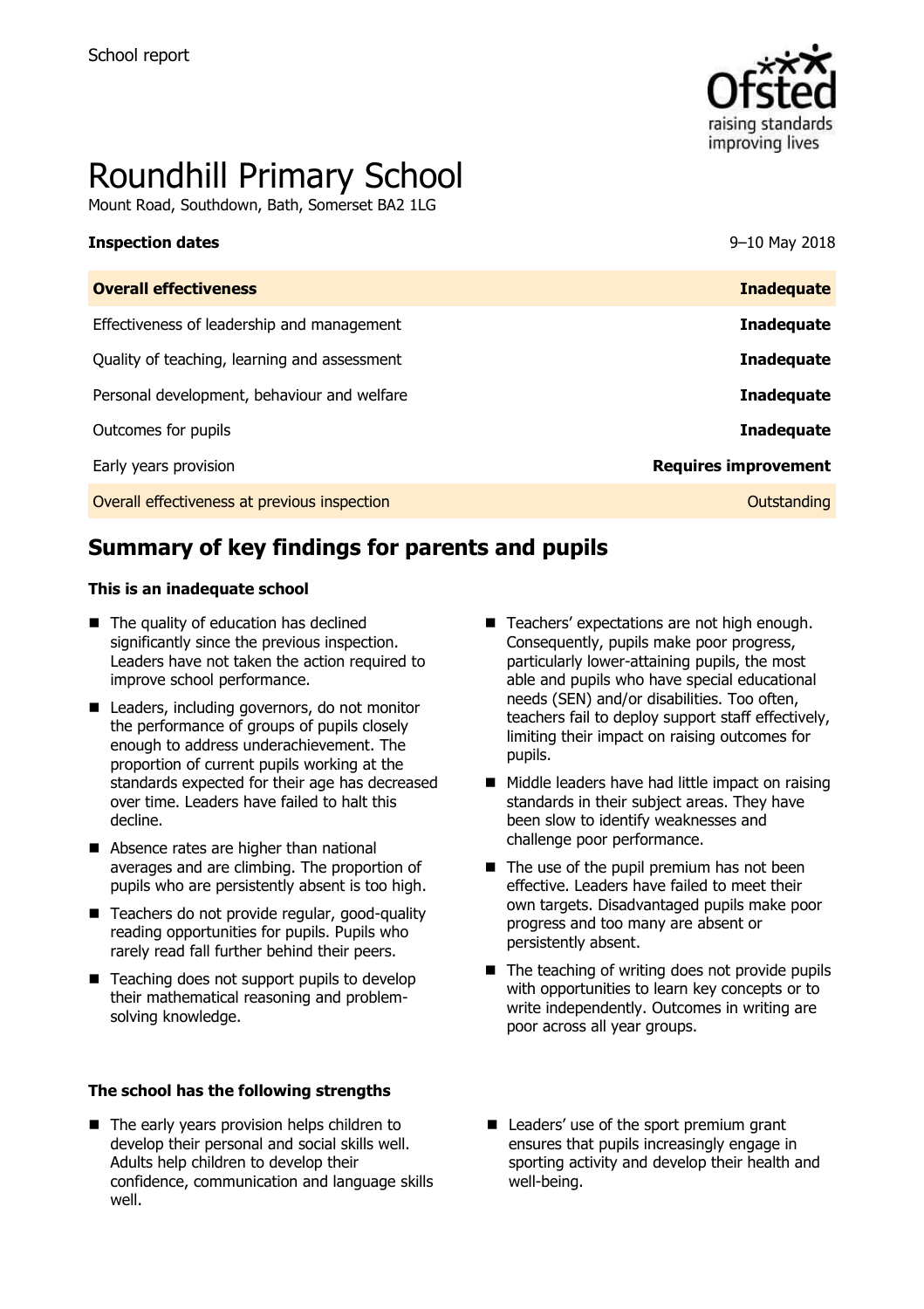

# Roundhill Primary School

Mount Road, Southdown, Bath, Somerset BA2 1LG

| <b>Inspection dates</b> | 9-10 May 2018 |
|-------------------------|---------------|
|                         |               |

| <b>Overall effectiveness</b>                 | <b>Inadequate</b>           |
|----------------------------------------------|-----------------------------|
| Effectiveness of leadership and management   | <b>Inadequate</b>           |
| Quality of teaching, learning and assessment | <b>Inadequate</b>           |
| Personal development, behaviour and welfare  | <b>Inadequate</b>           |
| Outcomes for pupils                          | <b>Inadequate</b>           |
| Early years provision                        | <b>Requires improvement</b> |
| Overall effectiveness at previous inspection | Outstanding                 |

# **Summary of key findings for parents and pupils**

#### **This is an inadequate school**

- The quality of education has declined significantly since the previous inspection. Leaders have not taken the action required to improve school performance.
- Leaders, including governors, do not monitor the performance of groups of pupils closely enough to address underachievement. The proportion of current pupils working at the standards expected for their age has decreased over time. Leaders have failed to halt this decline.
- Absence rates are higher than national averages and are climbing. The proportion of pupils who are persistently absent is too high.
- Teachers do not provide regular, good-quality reading opportunities for pupils. Pupils who rarely read fall further behind their peers.
- $\blacksquare$  Teaching does not support pupils to develop their mathematical reasoning and problemsolving knowledge.

#### **The school has the following strengths**

■ The early years provision helps children to develop their personal and social skills well. Adults help children to develop their confidence, communication and language skills well.

- Teachers' expectations are not high enough. Consequently, pupils make poor progress, particularly lower-attaining pupils, the most able and pupils who have special educational needs (SEN) and/or disabilities. Too often, teachers fail to deploy support staff effectively, limiting their impact on raising outcomes for pupils.
- Middle leaders have had little impact on raising standards in their subject areas. They have been slow to identify weaknesses and challenge poor performance.
- $\blacksquare$  The use of the pupil premium has not been effective. Leaders have failed to meet their own targets. Disadvantaged pupils make poor progress and too many are absent or persistently absent.
- $\blacksquare$  The teaching of writing does not provide pupils with opportunities to learn key concepts or to write independently. Outcomes in writing are poor across all year groups.
- Leaders' use of the sport premium grant ensures that pupils increasingly engage in sporting activity and develop their health and well-being.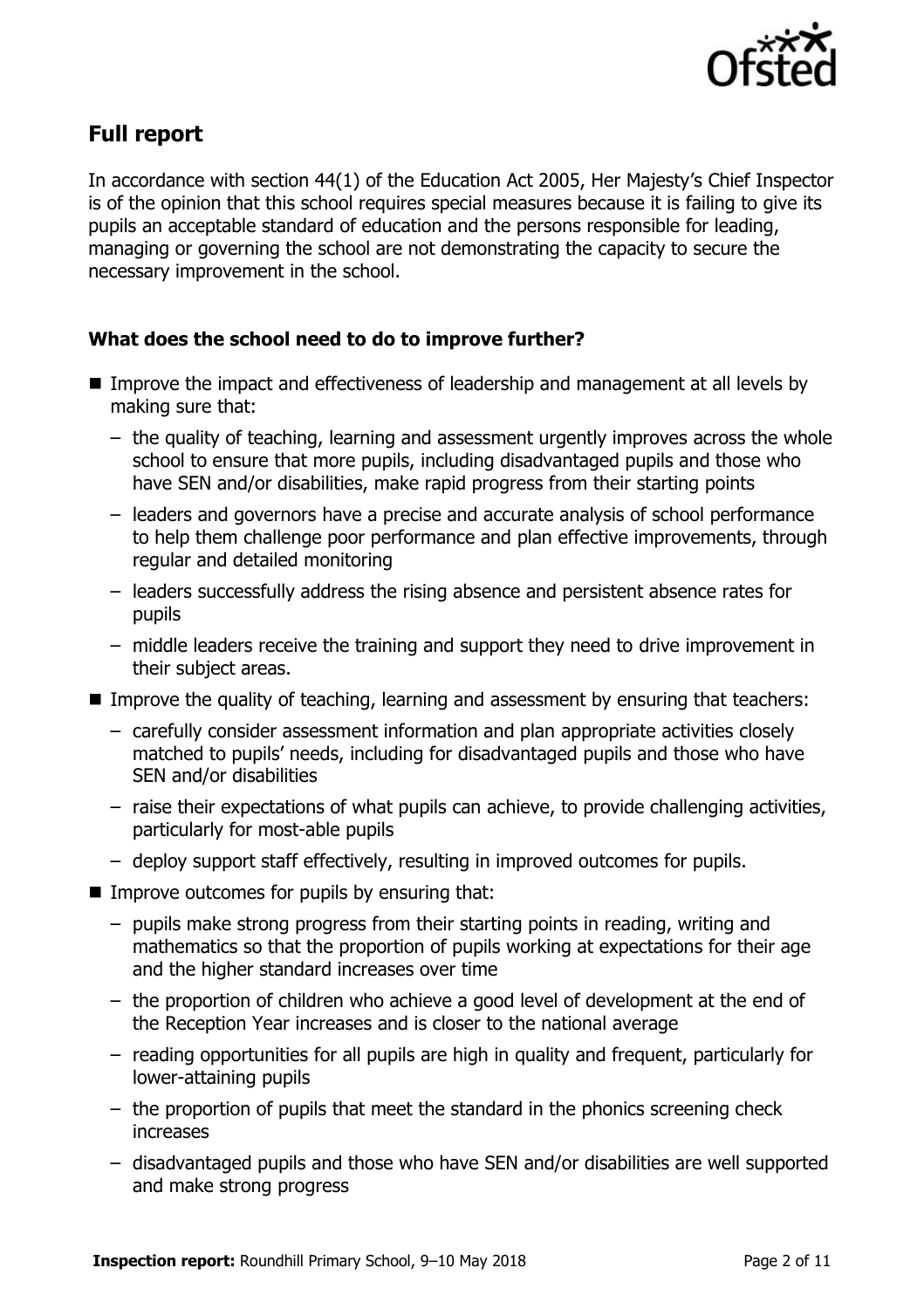

# **Full report**

In accordance with section 44(1) of the Education Act 2005, Her Majesty's Chief Inspector is of the opinion that this school requires special measures because it is failing to give its pupils an acceptable standard of education and the persons responsible for leading, managing or governing the school are not demonstrating the capacity to secure the necessary improvement in the school.

### **What does the school need to do to improve further?**

- Improve the impact and effectiveness of leadership and management at all levels by making sure that:
	- the quality of teaching, learning and assessment urgently improves across the whole school to ensure that more pupils, including disadvantaged pupils and those who have SEN and/or disabilities, make rapid progress from their starting points
	- leaders and governors have a precise and accurate analysis of school performance to help them challenge poor performance and plan effective improvements, through regular and detailed monitoring
	- leaders successfully address the rising absence and persistent absence rates for pupils
	- middle leaders receive the training and support they need to drive improvement in their subject areas.
- **IMPROVE the quality of teaching, learning and assessment by ensuring that teachers:** 
	- carefully consider assessment information and plan appropriate activities closely matched to pupils' needs, including for disadvantaged pupils and those who have SEN and/or disabilities
	- raise their expectations of what pupils can achieve, to provide challenging activities, particularly for most-able pupils
	- deploy support staff effectively, resulting in improved outcomes for pupils.
- $\blacksquare$  Improve outcomes for pupils by ensuring that:
	- pupils make strong progress from their starting points in reading, writing and mathematics so that the proportion of pupils working at expectations for their age and the higher standard increases over time
	- the proportion of children who achieve a good level of development at the end of the Reception Year increases and is closer to the national average
	- reading opportunities for all pupils are high in quality and frequent, particularly for lower-attaining pupils
	- the proportion of pupils that meet the standard in the phonics screening check increases
	- disadvantaged pupils and those who have SEN and/or disabilities are well supported and make strong progress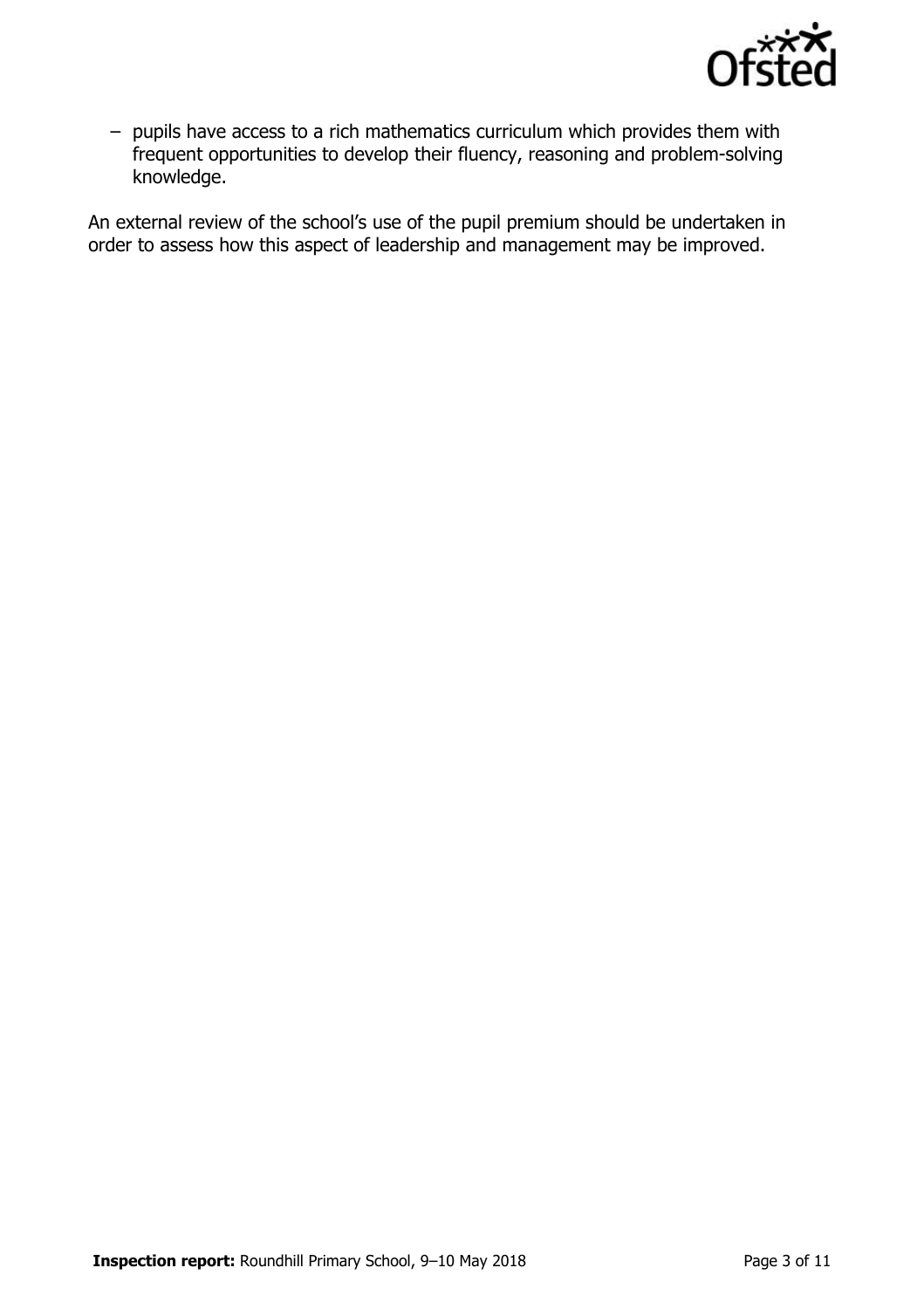

– pupils have access to a rich mathematics curriculum which provides them with frequent opportunities to develop their fluency, reasoning and problem-solving knowledge.

An external review of the school's use of the pupil premium should be undertaken in order to assess how this aspect of leadership and management may be improved.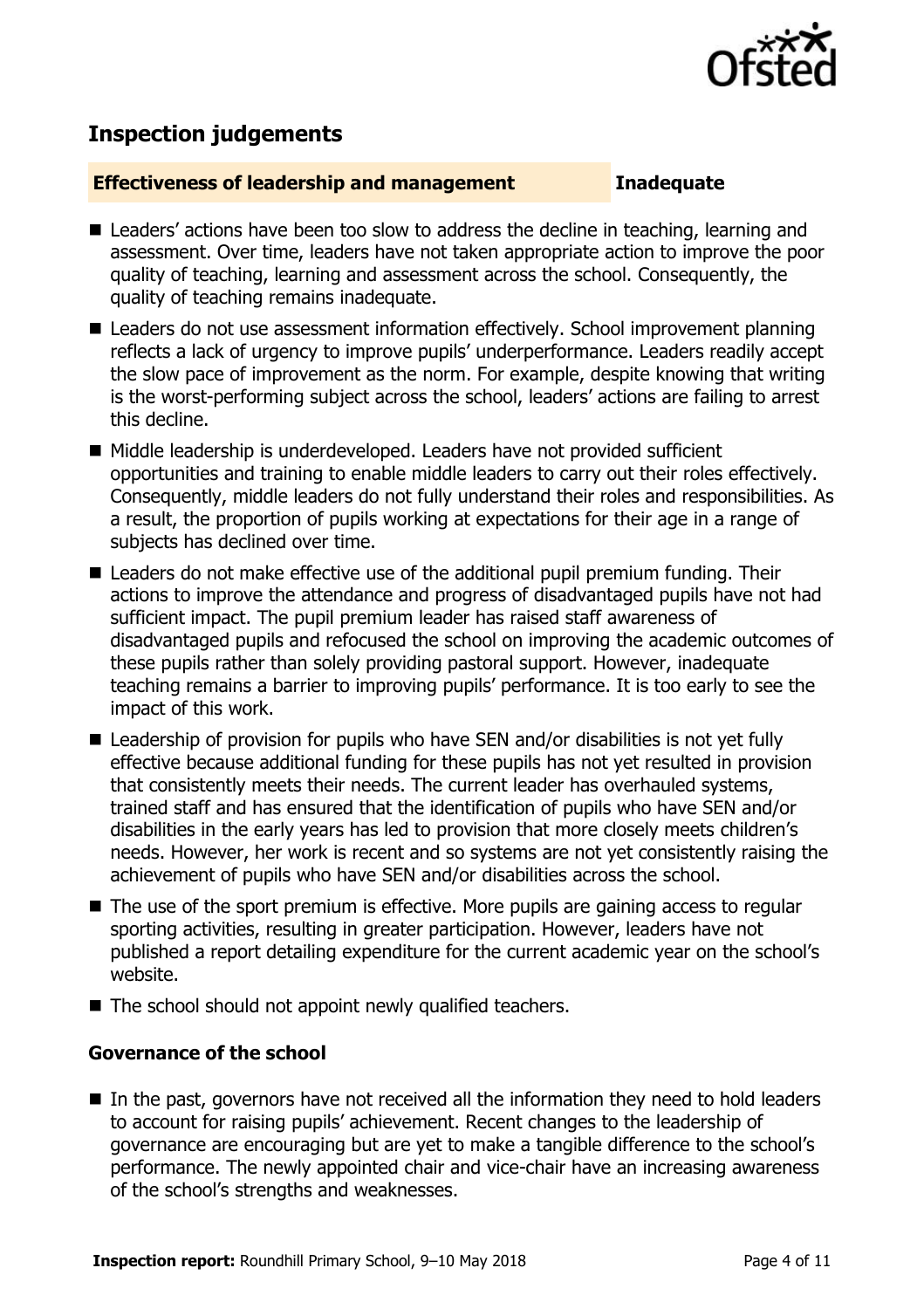

# **Inspection judgements**

#### **Effectiveness of leadership and management Inadequate**

- Leaders' actions have been too slow to address the decline in teaching, learning and assessment. Over time, leaders have not taken appropriate action to improve the poor quality of teaching, learning and assessment across the school. Consequently, the quality of teaching remains inadequate.
- Leaders do not use assessment information effectively. School improvement planning reflects a lack of urgency to improve pupils' underperformance. Leaders readily accept the slow pace of improvement as the norm. For example, despite knowing that writing is the worst-performing subject across the school, leaders' actions are failing to arrest this decline.
- Middle leadership is underdeveloped. Leaders have not provided sufficient opportunities and training to enable middle leaders to carry out their roles effectively. Consequently, middle leaders do not fully understand their roles and responsibilities. As a result, the proportion of pupils working at expectations for their age in a range of subjects has declined over time.
- Leaders do not make effective use of the additional pupil premium funding. Their actions to improve the attendance and progress of disadvantaged pupils have not had sufficient impact. The pupil premium leader has raised staff awareness of disadvantaged pupils and refocused the school on improving the academic outcomes of these pupils rather than solely providing pastoral support. However, inadequate teaching remains a barrier to improving pupils' performance. It is too early to see the impact of this work.
- Leadership of provision for pupils who have SEN and/or disabilities is not yet fully effective because additional funding for these pupils has not yet resulted in provision that consistently meets their needs. The current leader has overhauled systems, trained staff and has ensured that the identification of pupils who have SEN and/or disabilities in the early years has led to provision that more closely meets children's needs. However, her work is recent and so systems are not yet consistently raising the achievement of pupils who have SEN and/or disabilities across the school.
- The use of the sport premium is effective. More pupils are gaining access to regular sporting activities, resulting in greater participation. However, leaders have not published a report detailing expenditure for the current academic year on the school's website.
- The school should not appoint newly qualified teachers.

### **Governance of the school**

 $\blacksquare$  In the past, governors have not received all the information they need to hold leaders to account for raising pupils' achievement. Recent changes to the leadership of governance are encouraging but are yet to make a tangible difference to the school's performance. The newly appointed chair and vice-chair have an increasing awareness of the school's strengths and weaknesses.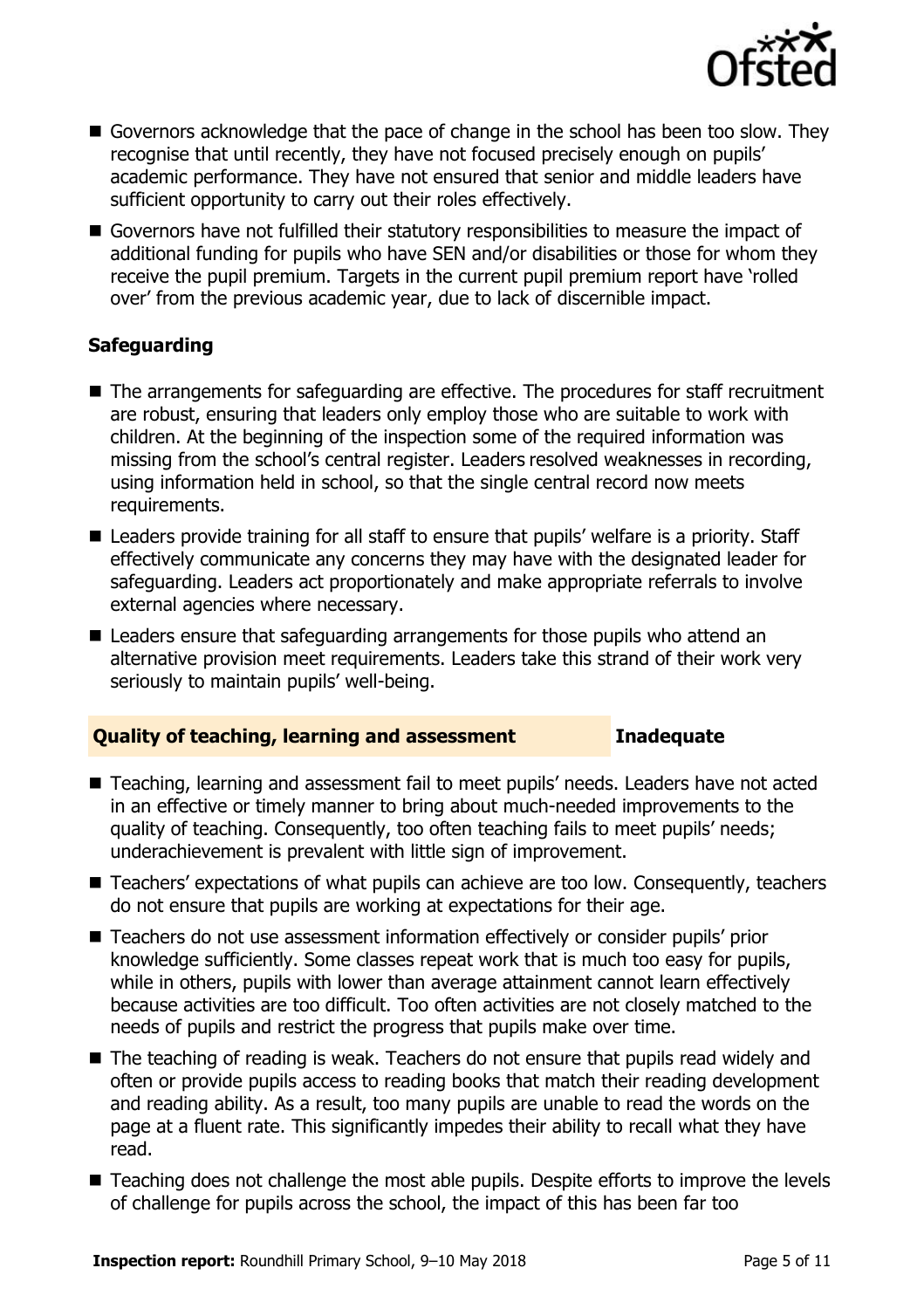

- Governors acknowledge that the pace of change in the school has been too slow. They recognise that until recently, they have not focused precisely enough on pupils' academic performance. They have not ensured that senior and middle leaders have sufficient opportunity to carry out their roles effectively.
- Governors have not fulfilled their statutory responsibilities to measure the impact of additional funding for pupils who have SEN and/or disabilities or those for whom they receive the pupil premium. Targets in the current pupil premium report have 'rolled over' from the previous academic year, due to lack of discernible impact.

### **Safeguarding**

- The arrangements for safeguarding are effective. The procedures for staff recruitment are robust, ensuring that leaders only employ those who are suitable to work with children. At the beginning of the inspection some of the required information was missing from the school's central register. Leaders resolved weaknesses in recording, using information held in school, so that the single central record now meets requirements.
- Leaders provide training for all staff to ensure that pupils' welfare is a priority. Staff effectively communicate any concerns they may have with the designated leader for safeguarding. Leaders act proportionately and make appropriate referrals to involve external agencies where necessary.
- Leaders ensure that safeguarding arrangements for those pupils who attend an alternative provision meet requirements. Leaders take this strand of their work very seriously to maintain pupils' well-being.

### **Quality of teaching, learning and assessment Inadequate**

- Teaching, learning and assessment fail to meet pupils' needs. Leaders have not acted in an effective or timely manner to bring about much-needed improvements to the quality of teaching. Consequently, too often teaching fails to meet pupils' needs; underachievement is prevalent with little sign of improvement.
- Teachers' expectations of what pupils can achieve are too low. Consequently, teachers do not ensure that pupils are working at expectations for their age.
- Teachers do not use assessment information effectively or consider pupils' prior knowledge sufficiently. Some classes repeat work that is much too easy for pupils, while in others, pupils with lower than average attainment cannot learn effectively because activities are too difficult. Too often activities are not closely matched to the needs of pupils and restrict the progress that pupils make over time.
- The teaching of reading is weak. Teachers do not ensure that pupils read widely and often or provide pupils access to reading books that match their reading development and reading ability. As a result, too many pupils are unable to read the words on the page at a fluent rate. This significantly impedes their ability to recall what they have read.
- Teaching does not challenge the most able pupils. Despite efforts to improve the levels of challenge for pupils across the school, the impact of this has been far too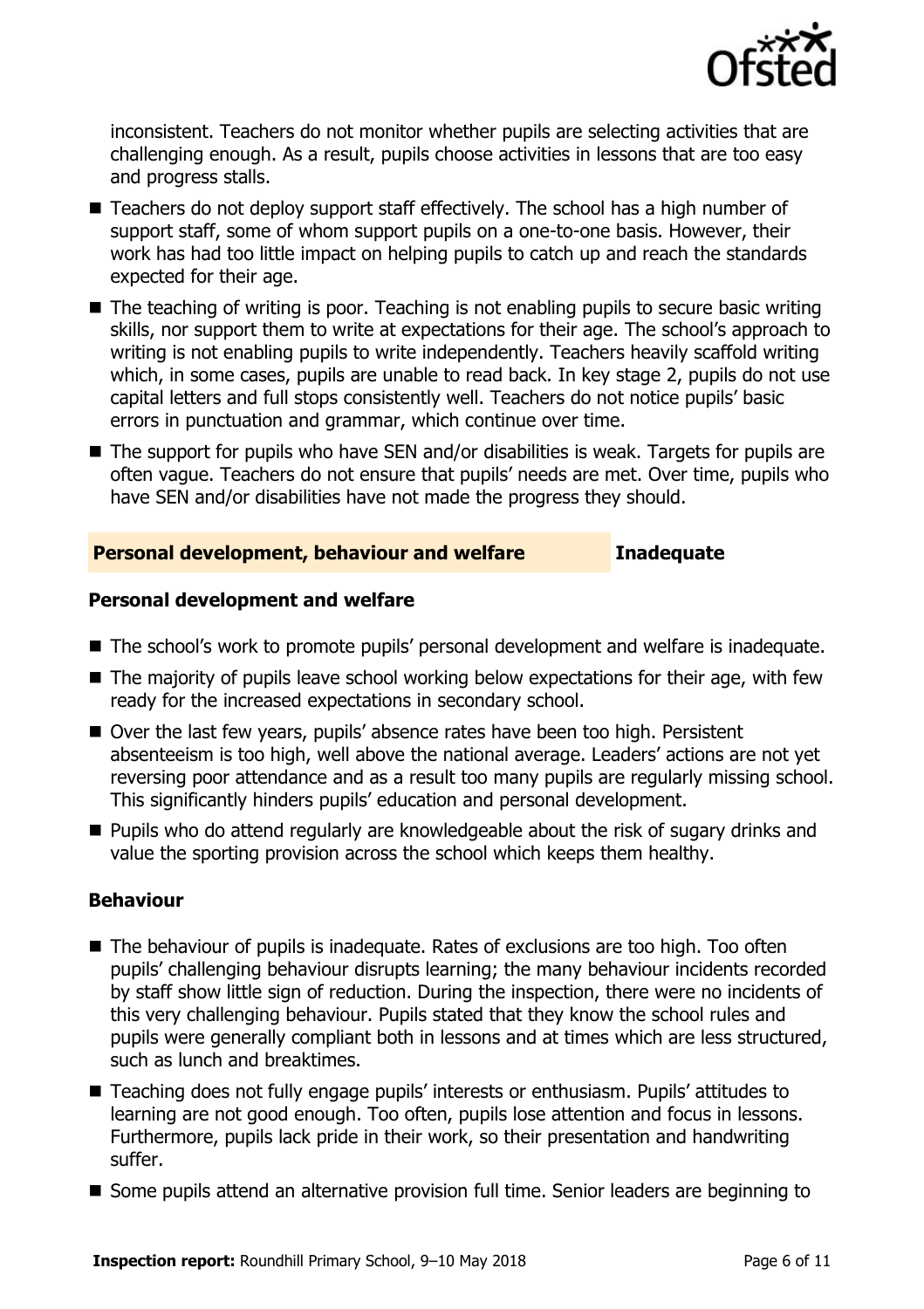

inconsistent. Teachers do not monitor whether pupils are selecting activities that are challenging enough. As a result, pupils choose activities in lessons that are too easy and progress stalls.

- Teachers do not deploy support staff effectively. The school has a high number of support staff, some of whom support pupils on a one-to-one basis. However, their work has had too little impact on helping pupils to catch up and reach the standards expected for their age.
- $\blacksquare$  The teaching of writing is poor. Teaching is not enabling pupils to secure basic writing skills, nor support them to write at expectations for their age. The school's approach to writing is not enabling pupils to write independently. Teachers heavily scaffold writing which, in some cases, pupils are unable to read back. In key stage 2, pupils do not use capital letters and full stops consistently well. Teachers do not notice pupils' basic errors in punctuation and grammar, which continue over time.
- The support for pupils who have SEN and/or disabilities is weak. Targets for pupils are often vague. Teachers do not ensure that pupils' needs are met. Over time, pupils who have SEN and/or disabilities have not made the progress they should.

### **Personal development, behaviour and welfare Inadequate**

#### **Personal development and welfare**

- The school's work to promote pupils' personal development and welfare is inadequate.
- $\blacksquare$  The majority of pupils leave school working below expectations for their age, with few ready for the increased expectations in secondary school.
- Over the last few years, pupils' absence rates have been too high. Persistent absenteeism is too high, well above the national average. Leaders' actions are not yet reversing poor attendance and as a result too many pupils are regularly missing school. This significantly hinders pupils' education and personal development.
- **Pupils who do attend regularly are knowledgeable about the risk of sugary drinks and** value the sporting provision across the school which keeps them healthy.

### **Behaviour**

- The behaviour of pupils is inadequate. Rates of exclusions are too high. Too often pupils' challenging behaviour disrupts learning; the many behaviour incidents recorded by staff show little sign of reduction. During the inspection, there were no incidents of this very challenging behaviour. Pupils stated that they know the school rules and pupils were generally compliant both in lessons and at times which are less structured, such as lunch and breaktimes.
- Teaching does not fully engage pupils' interests or enthusiasm. Pupils' attitudes to learning are not good enough. Too often, pupils lose attention and focus in lessons. Furthermore, pupils lack pride in their work, so their presentation and handwriting suffer.
- Some pupils attend an alternative provision full time. Senior leaders are beginning to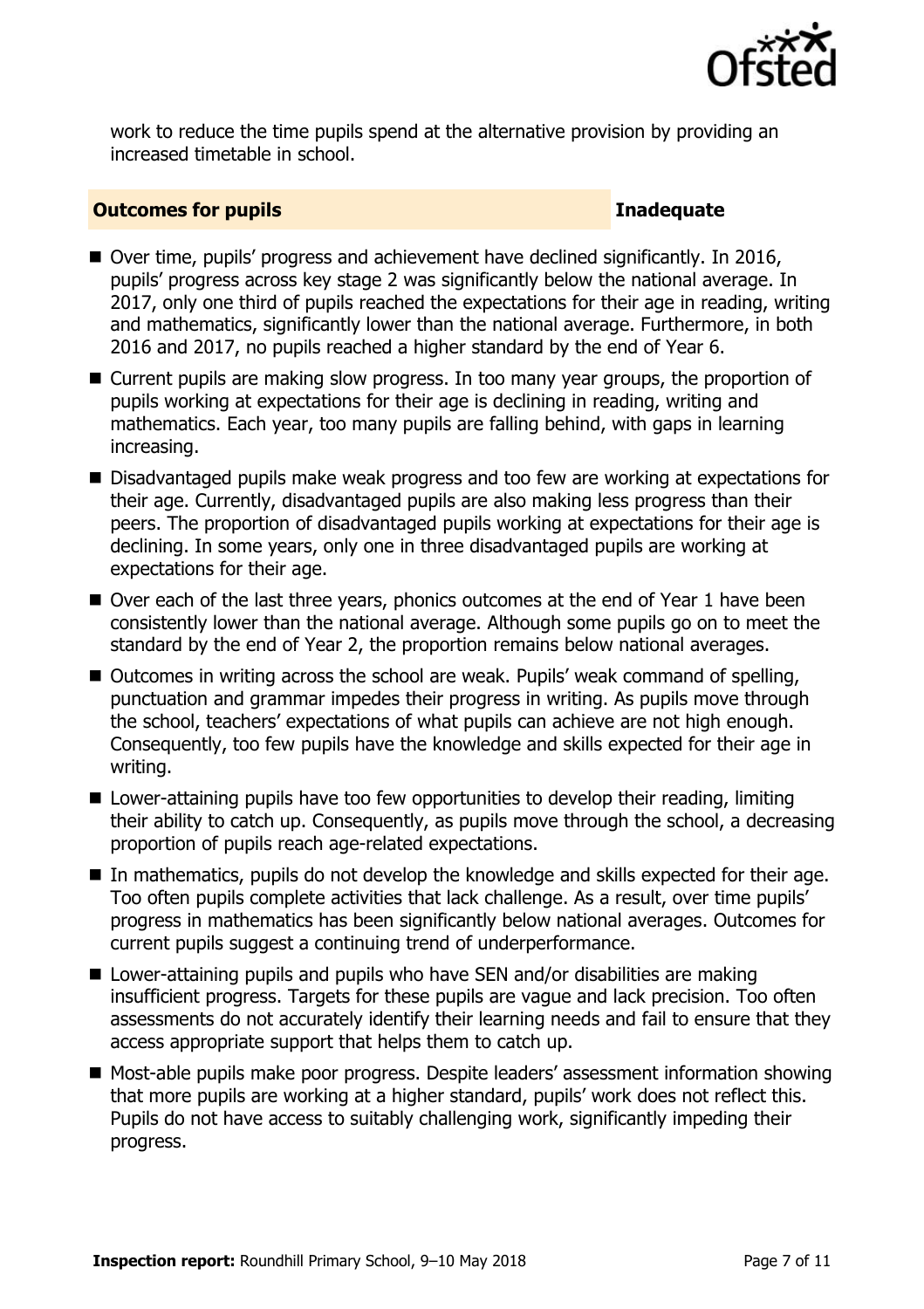

work to reduce the time pupils spend at the alternative provision by providing an increased timetable in school.

#### **Outcomes for pupils Inadequate**

- Over time, pupils' progress and achievement have declined significantly. In 2016, pupils' progress across key stage 2 was significantly below the national average. In 2017, only one third of pupils reached the expectations for their age in reading, writing and mathematics, significantly lower than the national average. Furthermore, in both 2016 and 2017, no pupils reached a higher standard by the end of Year 6.
- Current pupils are making slow progress. In too many year groups, the proportion of pupils working at expectations for their age is declining in reading, writing and mathematics. Each year, too many pupils are falling behind, with gaps in learning increasing.
- Disadvantaged pupils make weak progress and too few are working at expectations for their age. Currently, disadvantaged pupils are also making less progress than their peers. The proportion of disadvantaged pupils working at expectations for their age is declining. In some years, only one in three disadvantaged pupils are working at expectations for their age.
- Over each of the last three years, phonics outcomes at the end of Year 1 have been consistently lower than the national average. Although some pupils go on to meet the standard by the end of Year 2, the proportion remains below national averages.
- Outcomes in writing across the school are weak. Pupils' weak command of spelling, punctuation and grammar impedes their progress in writing. As pupils move through the school, teachers' expectations of what pupils can achieve are not high enough. Consequently, too few pupils have the knowledge and skills expected for their age in writing.
- Lower-attaining pupils have too few opportunities to develop their reading, limiting their ability to catch up. Consequently, as pupils move through the school, a decreasing proportion of pupils reach age-related expectations.
- In mathematics, pupils do not develop the knowledge and skills expected for their age. Too often pupils complete activities that lack challenge. As a result, over time pupils' progress in mathematics has been significantly below national averages. Outcomes for current pupils suggest a continuing trend of underperformance.
- Lower-attaining pupils and pupils who have SEN and/or disabilities are making insufficient progress. Targets for these pupils are vague and lack precision. Too often assessments do not accurately identify their learning needs and fail to ensure that they access appropriate support that helps them to catch up.
- Most-able pupils make poor progress. Despite leaders' assessment information showing that more pupils are working at a higher standard, pupils' work does not reflect this. Pupils do not have access to suitably challenging work, significantly impeding their progress.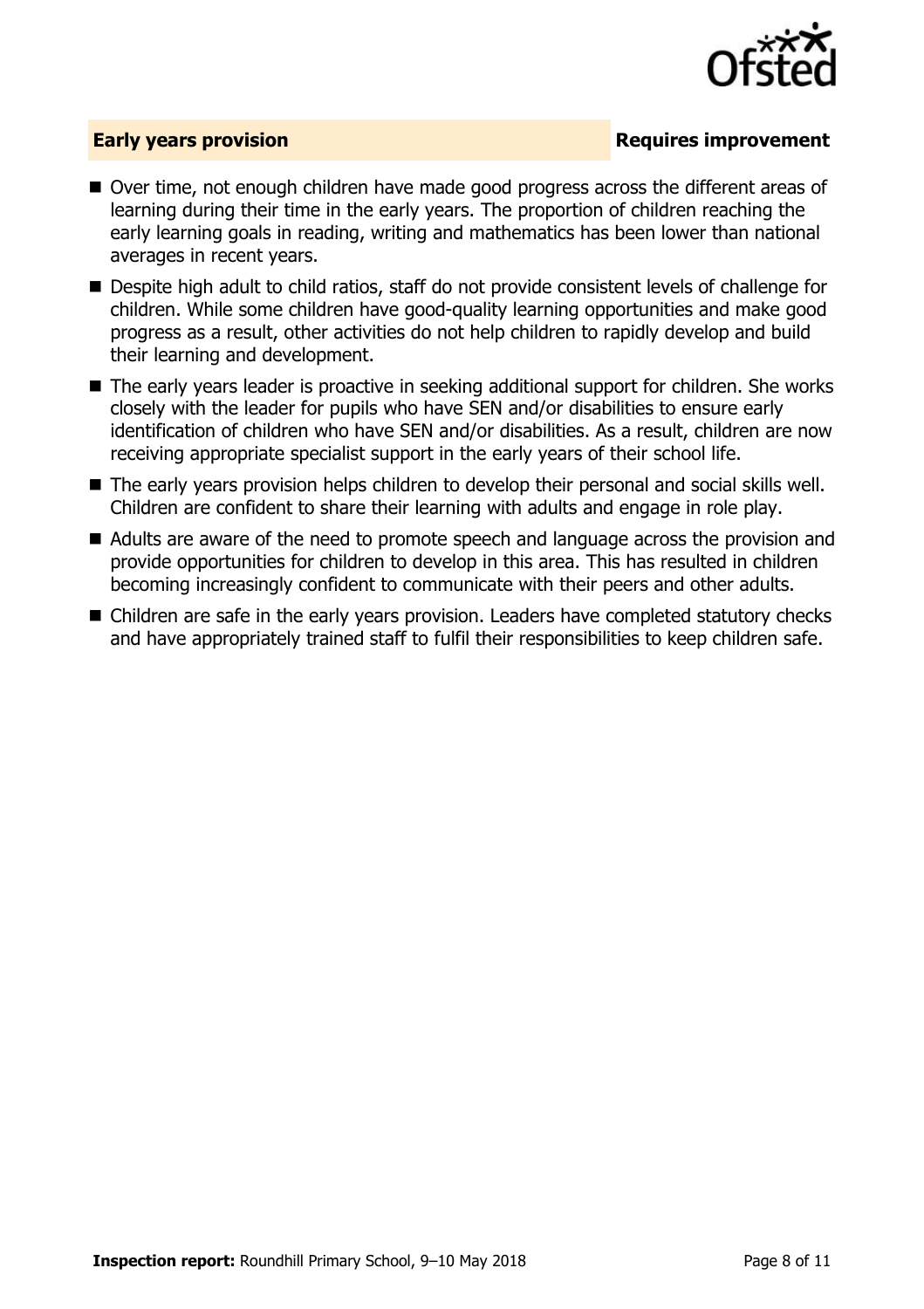

### **Early years provision**

- Over time, not enough children have made good progress across the different areas of learning during their time in the early years. The proportion of children reaching the early learning goals in reading, writing and mathematics has been lower than national averages in recent years.
- Despite high adult to child ratios, staff do not provide consistent levels of challenge for children. While some children have good-quality learning opportunities and make good progress as a result, other activities do not help children to rapidly develop and build their learning and development.
- The early years leader is proactive in seeking additional support for children. She works closely with the leader for pupils who have SEN and/or disabilities to ensure early identification of children who have SEN and/or disabilities. As a result, children are now receiving appropriate specialist support in the early years of their school life.
- The early years provision helps children to develop their personal and social skills well. Children are confident to share their learning with adults and engage in role play.
- Adults are aware of the need to promote speech and language across the provision and provide opportunities for children to develop in this area. This has resulted in children becoming increasingly confident to communicate with their peers and other adults.
- Children are safe in the early years provision. Leaders have completed statutory checks and have appropriately trained staff to fulfil their responsibilities to keep children safe.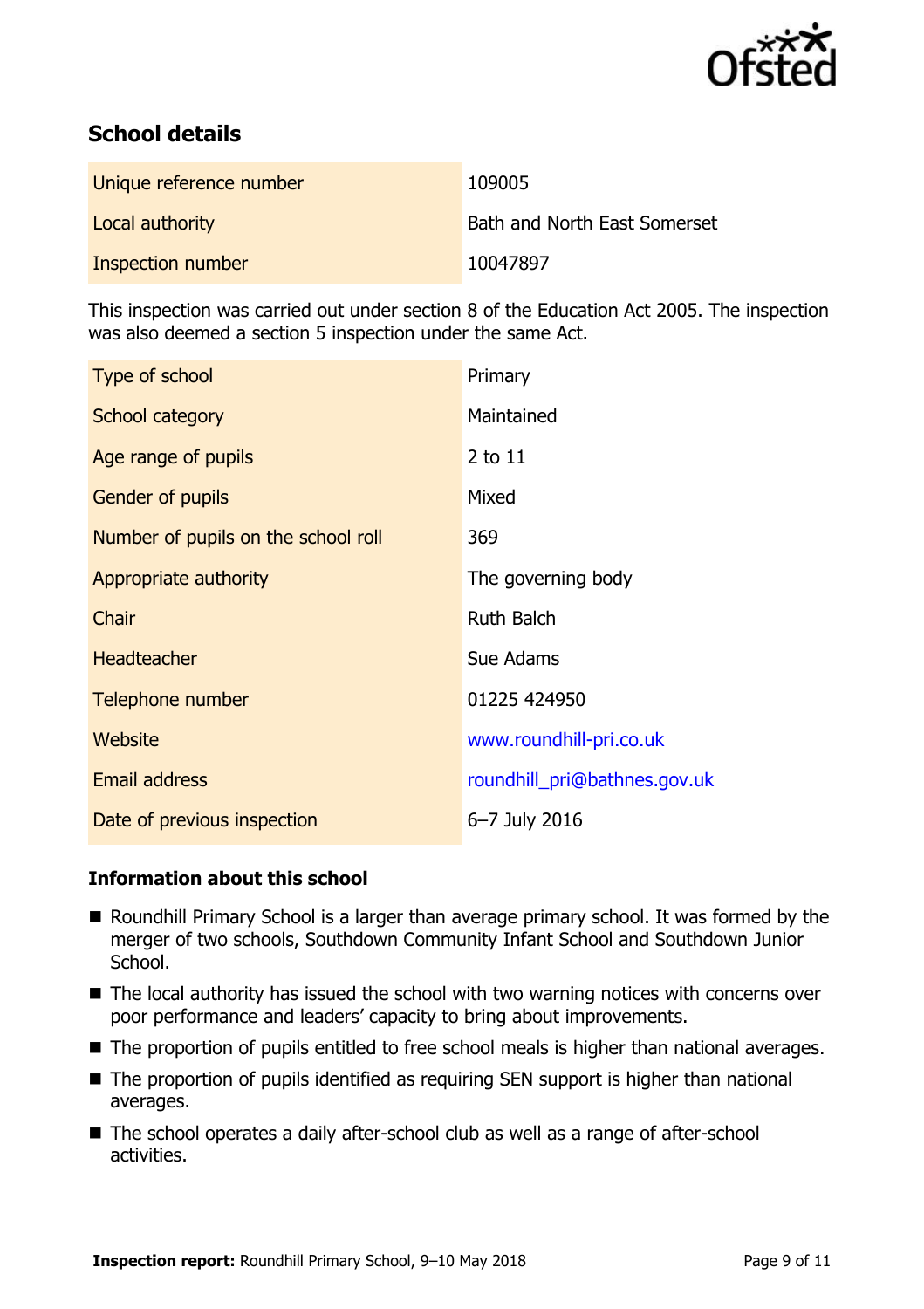

# **School details**

| Unique reference number | 109005                              |
|-------------------------|-------------------------------------|
| Local authority         | <b>Bath and North East Somerset</b> |
| Inspection number       | 10047897                            |

This inspection was carried out under section 8 of the Education Act 2005. The inspection was also deemed a section 5 inspection under the same Act.

| Type of school                      | Primary                      |
|-------------------------------------|------------------------------|
| School category                     | Maintained                   |
| Age range of pupils                 | $2$ to $11$                  |
| Gender of pupils                    | Mixed                        |
| Number of pupils on the school roll | 369                          |
| Appropriate authority               | The governing body           |
| Chair                               | <b>Ruth Balch</b>            |
| <b>Headteacher</b>                  | Sue Adams                    |
| Telephone number                    | 01225 424950                 |
| Website                             | www.roundhill-pri.co.uk      |
| Email address                       | roundhill_pri@bathnes.gov.uk |
| Date of previous inspection         | 6-7 July 2016                |

### **Information about this school**

- $\overline{a}$ ■ Roundhill Primary School is a larger than average primary school. It was formed by the merger of two schools, Southdown Community Infant School and Southdown Junior School.
- The local authority has issued the school with two warning notices with concerns over poor performance and leaders' capacity to bring about improvements.
- The proportion of pupils entitled to free school meals is higher than national averages.
- The proportion of pupils identified as requiring SEN support is higher than national averages.
- The school operates a daily after-school club as well as a range of after-school activities.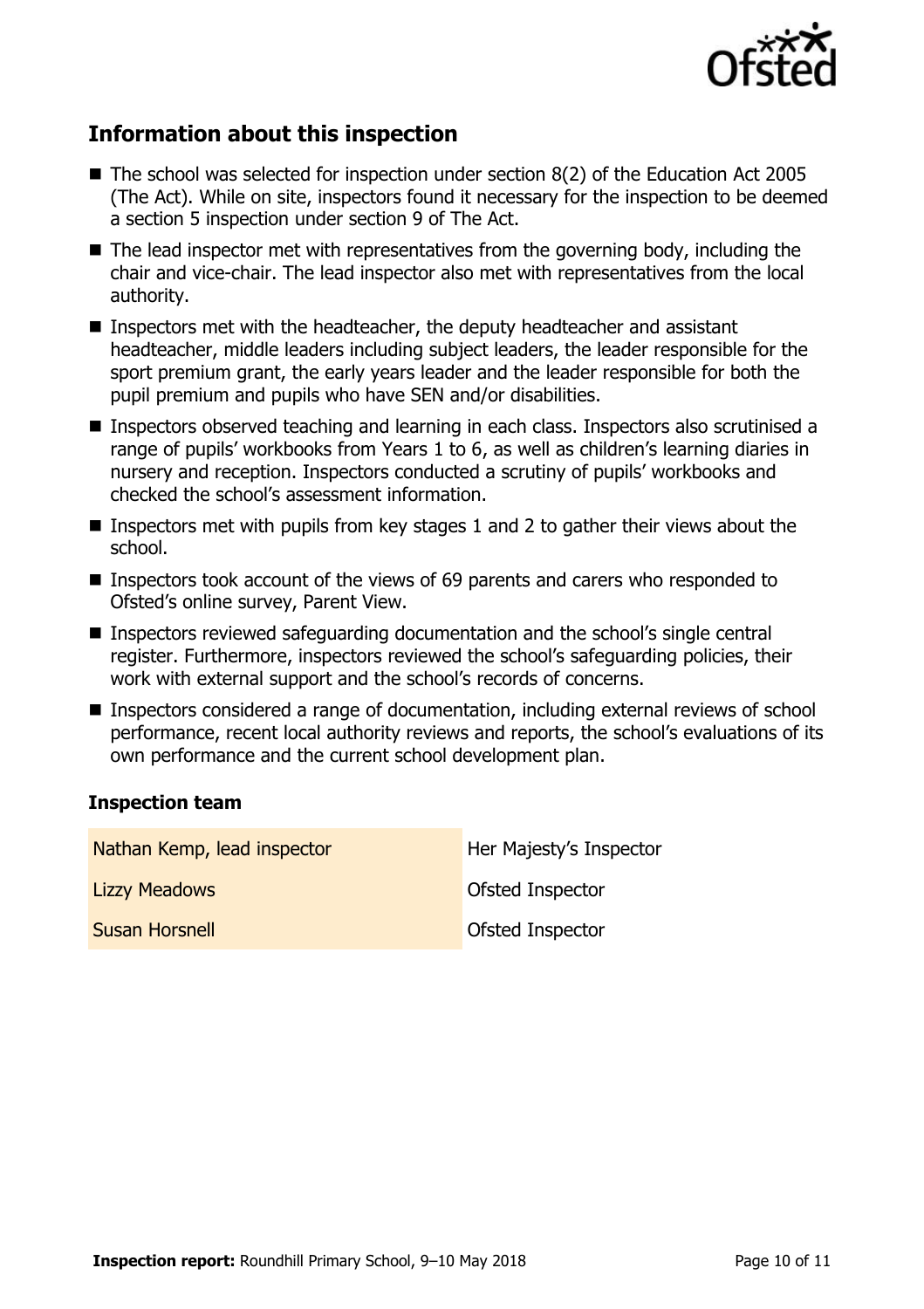

# **Information about this inspection**

- The school was selected for inspection under section 8(2) of the Education Act 2005 (The Act). While on site, inspectors found it necessary for the inspection to be deemed a section 5 inspection under section 9 of The Act.
- $\blacksquare$  The lead inspector met with representatives from the governing body, including the chair and vice-chair. The lead inspector also met with representatives from the local authority.
- Inspectors met with the headteacher, the deputy headteacher and assistant headteacher, middle leaders including subject leaders, the leader responsible for the sport premium grant, the early years leader and the leader responsible for both the pupil premium and pupils who have SEN and/or disabilities.
- Inspectors observed teaching and learning in each class. Inspectors also scrutinised a range of pupils' workbooks from Years 1 to 6, as well as children's learning diaries in nursery and reception. Inspectors conducted a scrutiny of pupils' workbooks and checked the school's assessment information.
- **I** Inspectors met with pupils from key stages 1 and 2 to gather their views about the school.
- Inspectors took account of the views of 69 parents and carers who responded to Ofsted's online survey, Parent View.
- Inspectors reviewed safeguarding documentation and the school's single central register. Furthermore, inspectors reviewed the school's safeguarding policies, their work with external support and the school's records of concerns.
- Inspectors considered a range of documentation, including external reviews of school performance, recent local authority reviews and reports, the school's evaluations of its own performance and the current school development plan.

### **Inspection team**

| Nathan Kemp, lead inspector | Her Majesty's Inspector |
|-----------------------------|-------------------------|
| <b>Lizzy Meadows</b>        | <b>Ofsted Inspector</b> |
| <b>Susan Horsnell</b>       | Ofsted Inspector        |